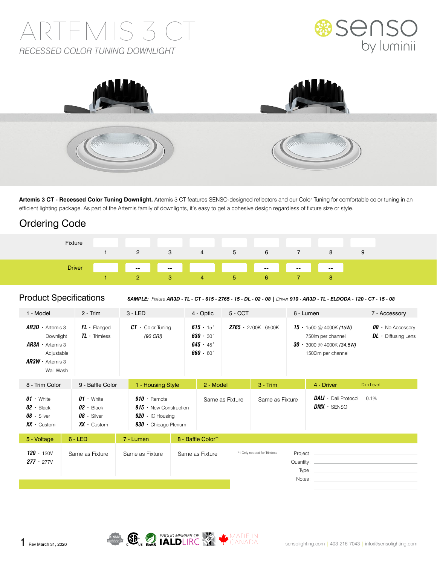# ARTEMIS 3 CT *RECESSED COLOR TUNING DOWNLIGHT*





**Artemis 3 CT - Recessed Color Tuning Downlight.** Artemis 3 CT features SENSO-designed reflectors and our Color Tuning for comfortable color tuning in an efficient lighting package. As part of the Artemis family of downlights, it's easy to get a cohesive design regardless of fixture size or style.

# Ordering Code

| Fixture       |   |    |   |    |              |                 |                                  |  |
|---------------|---|----|---|----|--------------|-----------------|----------------------------------|--|
|               | 2 | 3  | 4 | 5  | 6            |                 |                                  |  |
| <b>Driver</b> |   |    |   |    |              | $\sim 10^{-11}$ | <b>Service Service</b><br>$\sim$ |  |
|               |   | 87 | 4 | ъ. | <sub>n</sub> |                 |                                  |  |

#### Product Specifications

*SAMPLE: Fixture AR3D - TL - CT - 615 - 2765 - 15 - DL - 02 - 08 | Driver 910 - AR3D - TL - ELDODA - 120 - CT - 15 - 08*

| 1 - Model                                                                                                          | $2 - Trim$                                                                     | $3 - LED$                                                                                              | 4 - Optic                                                                                            |                 | $5 - CCT$                   |                          | 6 - Lumen                                                                                                    | 7 - Accessory                                        |
|--------------------------------------------------------------------------------------------------------------------|--------------------------------------------------------------------------------|--------------------------------------------------------------------------------------------------------|------------------------------------------------------------------------------------------------------|-----------------|-----------------------------|--------------------------|--------------------------------------------------------------------------------------------------------------|------------------------------------------------------|
| $AR3D \cdot$ Artemis 3<br>Downlight<br>$AR3A \cdot$ Artemis 3<br>Adjustable<br>$AR3W \cdot$ Artemis 3<br>Wall Wash | $FL \cdot$ Flanged<br>$TL \cdot$ Trimless                                      | $CT \cdot$ Color Tuning<br>(90 CRI)                                                                    | $615 \cdot 15^{\circ}$<br>$630 \cdot 30^{\circ}$<br>$645 \cdot 45^{\circ}$<br>$660 \cdot 60^{\circ}$ |                 | $2765 - 2700K - 6500K$      |                          | <b>15</b> • 1500 @ 4000K (15W)<br>750lm per channel<br>$30 \cdot 3000$ @ 4000K (34.5W)<br>1500lm per channel | $00 \cdot$ No Accessory<br>$DL \cdot$ Diffusing Lens |
|                                                                                                                    | 8 - Trim Color<br>9 - Baffle Color                                             |                                                                                                        | 1 - Housing Style                                                                                    | 2 - Model       | $3 - Trim$                  |                          | 4 - Driver                                                                                                   | Dim Level                                            |
| $01 \cdot$ White<br>$02 \cdot$ Black<br>$08 \cdot$ Silver<br>$XX \cdot$ Custom                                     | $01 \cdot$ White<br>$02 \cdot$ Black<br>$08 \cdot$ Silver<br>$XX \cdot$ Custom | $910 \cdot$ Remote<br>$915 -$ New Construction<br>$920 \cdot$ IC Housing<br>$930 \cdot$ Chicago Plenum |                                                                                                      | Same as Fixture | Same as Fixture             |                          | <b>DALI</b> $\cdot$ Dali Protocol<br>$DMX \cdot$ SENSO                                                       | 0.1%                                                 |
| 5 - Voltage                                                                                                        | $6 - LED$                                                                      | 7 - Lumen                                                                                              | 8 - Baffle Color*1                                                                                   |                 |                             |                          |                                                                                                              |                                                      |
| $120 \cdot 120V$<br>$277 \cdot 277V$                                                                               | Same as Fixture                                                                | Same as Fixture                                                                                        | Same as Fixture                                                                                      |                 | *1 Only needed for Trimless | Project:<br>Quantity: __ | $Type:$ $\_\$                                                                                                |                                                      |
|                                                                                                                    |                                                                                |                                                                                                        |                                                                                                      |                 |                             | Notes:                   |                                                                                                              |                                                      |

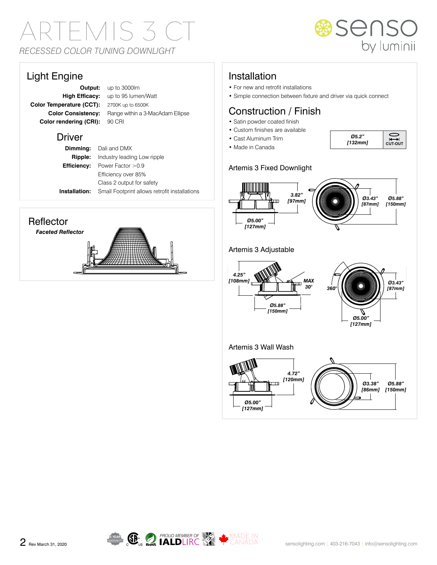# ARTEMIS 3 CT *RECESSED COLOR TUNING DOWNLIGHT*



### Light Engine

**Color Temperature (CCT):** 2700K up to 6500K **Color rendering (CRI):** 90 CRI

**Output:** up to 3000lm **High Efficacy:** up to 95 lumen/Watt **Color Consistency:** Range within a 3-MacAdam Ellipse

#### Driver

**Dimming:** Dali and DMX **Ripple:** Industry leading Low ripple **Efficiency:** Power Factor >0.9 Efficiency over 85% Class 2 output for safety **Installation:** Small Footprint allows retrofit installations

### **Reflector**

*Faceted Reflector*



# Installation

- For new and retrofit installations
- Simple connection between fixture and driver via quick connect

# Construction / Finish

- Satin powder coated finish
- Custom finishes are available
- Cast Aluminum Trim • Made in Canada



#### Artemis 3 Fixed Downlight